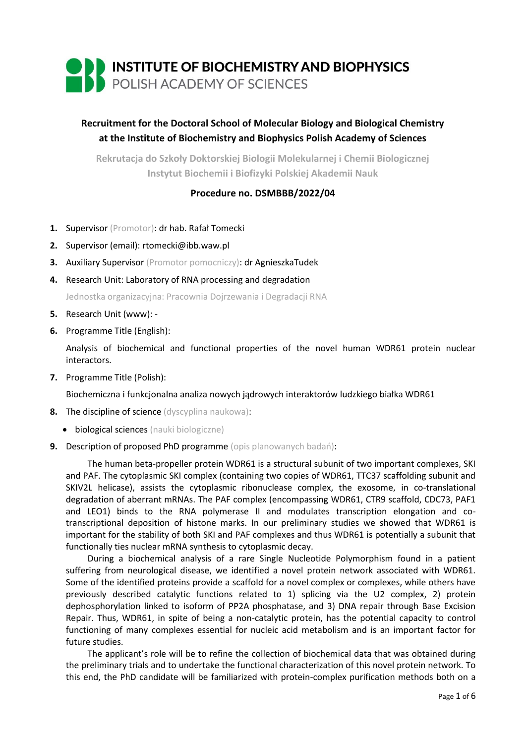

# **Recruitment for the Doctoral School of Molecular Biology and Biological Chemistry at the Institute of Biochemistry and Biophysics Polish Academy of Sciences**

**Rekrutacja do Szkoły Doktorskiej Biologii Molekularnej i Chemii Biologicznej Instytut Biochemii i Biofizyki Polskiej Akademii Nauk**

## **Procedure no. DSMBBB/2022/04**

- **1.** Supervisor (Promotor): dr hab. Rafał Tomecki
- **2.** Supervisor (email): rtomecki@ibb.waw.pl
- **3.** Auxiliary Supervisor (Promotor pomocniczy): dr AgnieszkaTudek
- **4.** Research Unit: Laboratory of RNA processing and degradation

Jednostka organizacyjna: Pracownia Dojrzewania i Degradacji RNA

- **5.** Research Unit (www): -
- **6.** Programme Title (English):

Analysis of biochemical and functional properties of the novel human WDR61 protein nuclear interactors.

**7.** Programme Title (Polish):

Biochemiczna i funkcjonalna analiza nowych jądrowych interaktorów ludzkiego białka WDR61

- **8.** The discipline of science (dyscyplina naukowa):
	- **•** biological sciences (nauki biologiczne)
- **9.** Description of proposed PhD programme (opis planowanych badań):

The human beta-propeller protein WDR61 is a structural subunit of two important complexes, SKI and PAF. The cytoplasmic SKI complex (containing two copies of WDR61, TTC37 scaffolding subunit and SKIV2L helicase), assists the cytoplasmic ribonuclease complex, the exosome, in co-translational degradation of aberrant mRNAs. The PAF complex (encompassing WDR61, CTR9 scaffold, CDC73, PAF1 and LEO1) binds to the RNA polymerase II and modulates transcription elongation and cotranscriptional deposition of histone marks. In our preliminary studies we showed that WDR61 is important for the stability of both SKI and PAF complexes and thus WDR61 is potentially a subunit that functionally ties nuclear mRNA synthesis to cytoplasmic decay.

During a biochemical analysis of a rare Single Nucleotide Polymorphism found in a patient suffering from neurological disease, we identified a novel protein network associated with WDR61. Some of the identified proteins provide a scaffold for a novel complex or complexes, while others have previously described catalytic functions related to 1) splicing via the U2 complex, 2) protein dephosphorylation linked to isoform of PP2A phosphatase, and 3) DNA repair through Base Excision Repair. Thus, WDR61, in spite of being a non-catalytic protein, has the potential capacity to control functioning of many complexes essential for nucleic acid metabolism and is an important factor for future studies.

The applicant's role will be to refine the collection of biochemical data that was obtained during the preliminary trials and to undertake the functional characterization of this novel protein network. To this end, the PhD candidate will be familiarized with protein-complex purification methods both on a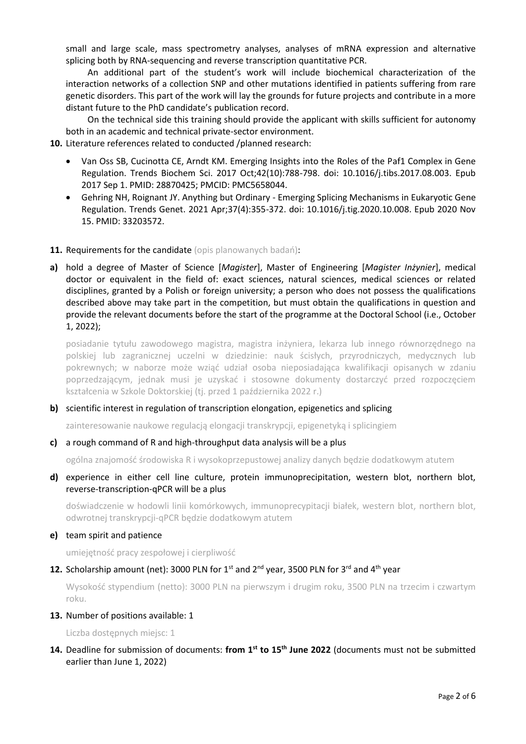small and large scale, mass spectrometry analyses, analyses of mRNA expression and alternative splicing both by RNA-sequencing and reverse transcription quantitative PCR.

An additional part of the student's work will include biochemical characterization of the interaction networks of a collection SNP and other mutations identified in patients suffering from rare genetic disorders. This part of the work will lay the grounds for future projects and contribute in a more distant future to the PhD candidate's publication record.

On the technical side this training should provide the applicant with skills sufficient for autonomy both in an academic and technical private-sector environment.

- **10.** Literature references related to conducted /planned research:
	- Van Oss SB, Cucinotta CE, Arndt KM. Emerging Insights into the Roles of the Paf1 Complex in Gene Regulation. Trends Biochem Sci. 2017 Oct;42(10):788-798. doi: 10.1016/j.tibs.2017.08.003. Epub 2017 Sep 1. PMID: 28870425; PMCID: PMC5658044.
	- Gehring NH, Roignant JY. Anything but Ordinary Emerging Splicing Mechanisms in Eukaryotic Gene Regulation. Trends Genet. 2021 Apr;37(4):355-372. doi: 10.1016/j.tig.2020.10.008. Epub 2020 Nov 15. PMID: 33203572.
- **11. Requirements for the candidate** (opis planowanych badań):
- **a)** hold a degree of Master of Science [*Magister*], Master of Engineering [*Magister Inżynier*], medical doctor or equivalent in the field of: exact sciences, natural sciences, medical sciences or related disciplines, granted by a Polish or foreign university; a person who does not possess the qualifications described above may take part in the competition, but must obtain the qualifications in question and provide the relevant documents before the start of the programme at the Doctoral School (i.e., October 1, 2022);

posiadanie tytułu zawodowego magistra, magistra inżyniera, lekarza lub innego równorzędnego na polskiej lub zagranicznej uczelni w dziedzinie: nauk ścisłych, przyrodniczych, medycznych lub pokrewnych; w naborze może wziąć udział osoba nieposiadająca kwalifikacji opisanych w zdaniu poprzedzającym, jednak musi je uzyskać i stosowne dokumenty dostarczyć przed rozpoczęciem kształcenia w Szkole Doktorskiej (tj. przed 1 października 2022 r.)

## **b)** scientific interest in regulation of transcription elongation, epigenetics and splicing

zainteresowanie naukowe regulacją elongacji transkrypcji, epigenetyką i splicingiem

**c)** a rough command of R and high-throughput data analysis will be a plus

ogólna znajomość środowiska R i wysokoprzepustowej analizy danych będzie dodatkowym atutem

**d)** experience in either cell line culture, protein immunoprecipitation, western blot, northern blot, reverse-transcription-qPCR will be a plus

doświadczenie w hodowli linii komórkowych, immunoprecypitacji białek, western blot, northern blot, odwrotnej transkrypcji-qPCR będzie dodatkowym atutem

#### **e)** team spirit and patience

umiejętność pracy zespołowej i cierpliwość

#### **12.** Scholarship amount (net): 3000 PLN for 1<sup>st</sup> and 2<sup>nd</sup> year, 3500 PLN for 3<sup>rd</sup> and 4<sup>th</sup> year

Wysokość stypendium (netto): 3000 PLN na pierwszym i drugim roku, 3500 PLN na trzecim i czwartym roku.

#### **13.** Number of positions available: 1

Liczba dostępnych miejsc: 1

**14.** Deadline for submission of documents: **from 1st to 15th June 2022** (documents must not be submitted earlier than June 1, 2022)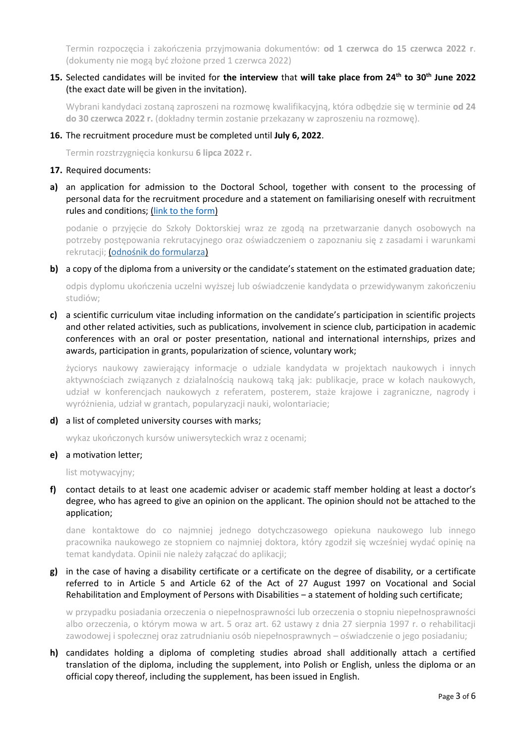Termin rozpoczęcia i zakończenia przyjmowania dokumentów: **od 1 czerwca do 15 czerwca 2022 r**. (dokumenty nie mogą być złożone przed 1 czerwca 2022)

## **15.** Selected candidates will be invited for **the interview** that **will take place from 24th to 30th June 2022** (the exact date will be given in the invitation).

Wybrani kandydaci zostaną zaproszeni na rozmowę kwalifikacyjną, która odbędzie się w terminie **od 24 do 30 czerwca 2022 r.** (dokładny termin zostanie przekazany w zaproszeniu na rozmowę).

#### **16.** The recruitment procedure must be completed until **July 6, 2022**.

Termin rozstrzygnięcia konkursu **6 lipca 2022 r.**

#### **17.** Required documents:

**a)** an application for admission to the Doctoral School, together with consent to the processing of personal data for the recruitment procedure and a statement on familiarising oneself with recruitment rules and conditions; [\(link to the form\)](https://ibb.edu.pl/app/uploads/2022/05/application-form_doctoralschool_ibb-pas.docx)

podanie o przyjęcie do Szkoły Doktorskiej wraz ze zgodą na przetwarzanie danych osobowych na potrzeby postępowania rekrutacyjnego oraz oświadczeniem o zapoznaniu się z zasadami i warunkami rekrutacji; ([odnośnik do formularza](https://ibb.edu.pl/app/uploads/2022/05/application-form_doctoralschool_ibb-pas.docx))

#### **b)** a copy of the diploma from a university or the candidate's statement on the estimated graduation date;

odpis dyplomu ukończenia uczelni wyższej lub oświadczenie kandydata o przewidywanym zakończeniu studiów;

**c)** a scientific curriculum vitae including information on the candidate's participation in scientific projects and other related activities, such as publications, involvement in science club, participation in academic conferences with an oral or poster presentation, national and international internships, prizes and awards, participation in grants, popularization of science, voluntary work;

życiorys naukowy zawierający informacje o udziale kandydata w projektach naukowych i innych aktywnościach związanych z działalnością naukową taką jak: publikacje, prace w kołach naukowych, udział w konferencjach naukowych z referatem, posterem, staże krajowe i zagraniczne, nagrody i wyróżnienia, udział w grantach, popularyzacji nauki, wolontariacie;

## **d)** a list of completed university courses with marks;

wykaz ukończonych kursów uniwersyteckich wraz z ocenami;

#### **e)** a motivation letter;

list motywacyjny;

**f)** contact details to at least one academic adviser or academic staff member holding at least a doctor's degree, who has agreed to give an opinion on the applicant. The opinion should not be attached to the application;

dane kontaktowe do co najmniej jednego dotychczasowego opiekuna naukowego lub innego pracownika naukowego ze stopniem co najmniej doktora, który zgodził się wcześniej wydać opinię na temat kandydata. Opinii nie należy załączać do aplikacji;

**g)** in the case of having a disability certificate or a certificate on the degree of disability, or a certificate referred to in Article 5 and Article 62 of the Act of 27 August 1997 on Vocational and Social Rehabilitation and Employment of Persons with Disabilities – a statement of holding such certificate;

w przypadku posiadania orzeczenia o niepełnosprawności lub orzeczenia o stopniu niepełnosprawności albo orzeczenia, o którym mowa w art. 5 oraz art. 62 ustawy z dnia 27 sierpnia 1997 r. o rehabilitacji zawodowej i społecznej oraz zatrudnianiu osób niepełnosprawnych – oświadczenie o jego posiadaniu;

**h)** candidates holding a diploma of completing studies abroad shall additionally attach a certified translation of the diploma, including the supplement, into Polish or English, unless the diploma or an official copy thereof, including the supplement, has been issued in English.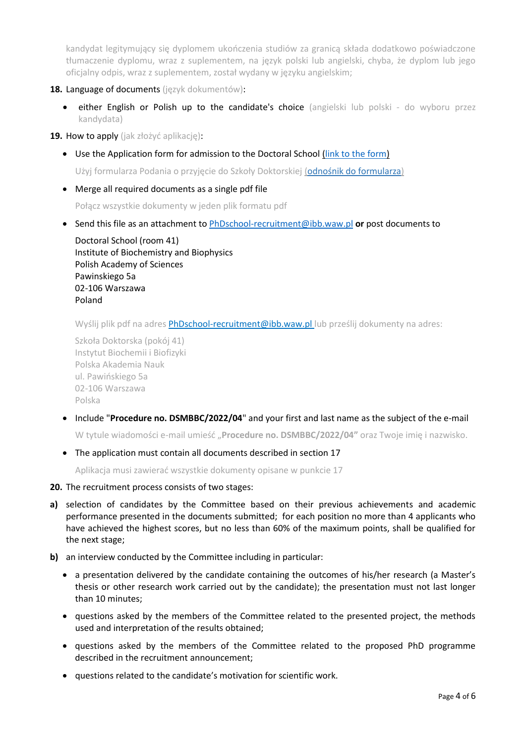kandydat legitymujący się dyplomem ukończenia studiów za granicą składa dodatkowo poświadczone tłumaczenie dyplomu, wraz z suplementem, na język polski lub angielski, chyba, że dyplom lub jego oficjalny odpis, wraz z suplementem, został wydany w języku angielskim;

- **18.** Language of documents (język dokumentów):
	- **either English or Polish up to the candidate's choice** (angielski lub polski do wyboru przez kandydata)
- **19.** How to apply (jak złożyć aplikację):
	- Use the Application form for admission to the Doctoral School [\(link to the form\)](https://ibb.edu.pl/app/uploads/2022/05/application-form_doctoralschool_ibb-pas.docx)

Użyj formularza Podania o przyjęcie do Szkoły Doktorskiej ([odnośnik do formularza](https://ibb.edu.pl/app/uploads/2022/05/application-form_doctoralschool_ibb-pas.docx))

Merge all required documents as a single pdf file

Połącz wszystkie dokumenty w jeden plik formatu pdf

Send this file as an attachment to [PhDschool-recruitment@ibb.waw.pl](mailto:PhDschool-recruitment@ibb.waw.pl) **or** post documents to

Doctoral School (room 41) Institute of Biochemistry and Biophysics Polish Academy of Sciences Pawinskiego 5a 02-106 Warszawa Poland

Wyślij plik pdf na adres [PhDschool-recruitment@ibb.waw.pl](mailto:PhDschool-recruitment@ibb.waw.pl) lub prześlij dokumenty na adres:

```
Szkoła Doktorska (pokój 41)
Instytut Biochemii i Biofizyki 
Polska Akademia Nauk
ul. Pawińskiego 5a
02-106 Warszawa
Polska
```
Include "**Procedure no. DSMBBC/2022/04**" and your first and last name as the subject of the e-mail

W tytule wiadomości e-mail umieść "**Procedure no. DSMBBC/2022/04"** oraz Twoje imię i nazwisko.

• The application must contain all documents described in section 17

Aplikacja musi zawierać wszystkie dokumenty opisane w punkcie 17

- **20.** The recruitment process consists of two stages:
- **a)** selection of candidates by the Committee based on their previous achievements and academic performance presented in the documents submitted; for each position no more than 4 applicants who have achieved the highest scores, but no less than 60% of the maximum points, shall be qualified for the next stage;
- **b)** an interview conducted by the Committee including in particular:
	- a presentation delivered by the candidate containing the outcomes of his/her research (a Master's thesis or other research work carried out by the candidate); the presentation must not last longer than 10 minutes;
	- questions asked by the members of the Committee related to the presented project, the methods used and interpretation of the results obtained;
	- questions asked by the members of the Committee related to the proposed PhD programme described in the recruitment announcement;
	- questions related to the candidate's motivation for scientific work.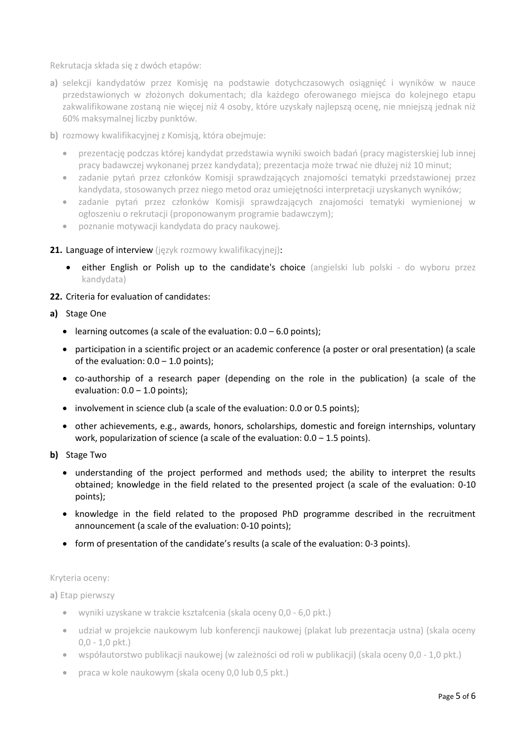Rekrutacja składa się z dwóch etapów:

**a)** selekcji kandydatów przez Komisję na podstawie dotychczasowych osiągnięć i wyników w nauce przedstawionych w złożonych dokumentach; dla każdego oferowanego miejsca do kolejnego etapu zakwalifikowane zostaną nie więcej niż 4 osoby, które uzyskały najlepszą ocenę, nie mniejszą jednak niż 60% maksymalnej liczby punktów.

**b)** rozmowy kwalifikacyjnej z Komisją, która obejmuje:

- prezentację podczas której kandydat przedstawia wyniki swoich badań (pracy magisterskiej lub innej pracy badawczej wykonanej przez kandydata); prezentacja może trwać nie dłużej niż 10 minut;
- zadanie pytań przez członków Komisji sprawdzających znajomości tematyki przedstawionej przez kandydata, stosowanych przez niego metod oraz umiejętności interpretacji uzyskanych wyników;
- zadanie pytań przez członków Komisji sprawdzających znajomości tematyki wymienionej w ogłoszeniu o rekrutacji (proponowanym programie badawczym);
- poznanie motywacji kandydata do pracy naukowej.

## 21. Language of interview (jezyk rozmowy kwalifikacyjnej):

either English or Polish up to the candidate's choice (angielski lub polski - do wyboru przez kandydata)

## **22.** Criteria for evaluation of candidates:

## **a)** Stage One

- learning outcomes (a scale of the evaluation:  $0.0 6.0$  points);
- participation in a scientific project or an academic conference (a poster or oral presentation) (a scale of the evaluation:  $0.0 - 1.0$  points);
- co-authorship of a research paper (depending on the role in the publication) (a scale of the evaluation:  $0.0 - 1.0$  points);
- involvement in science club (a scale of the evaluation: 0.0 or 0.5 points);
- other achievements, e.g., awards, honors, scholarships, domestic and foreign internships, voluntary work, popularization of science (a scale of the evaluation:  $0.0 - 1.5$  points).
- **b)** Stage Two
	- understanding of the project performed and methods used; the ability to interpret the results obtained; knowledge in the field related to the presented project (a scale of the evaluation: 0-10 points);
	- knowledge in the field related to the proposed PhD programme described in the recruitment announcement (a scale of the evaluation: 0-10 points);
	- form of presentation of the candidate's results (a scale of the evaluation: 0-3 points).

## Kryteria oceny:

**a)** Etap pierwszy

- wyniki uzyskane w trakcie kształcenia (skala oceny 0,0 6,0 pkt.)
- udział w projekcie naukowym lub konferencji naukowej (plakat lub prezentacja ustna) (skala oceny 0,0 - 1,0 pkt.)
- współautorstwo publikacji naukowej (w zależności od roli w publikacji) (skala oceny 0,0 1,0 pkt.)
- praca w kole naukowym (skala oceny 0,0 lub 0,5 pkt.)